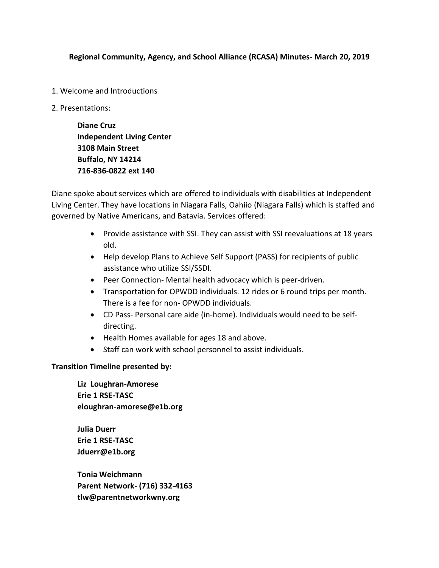## **Regional Community, Agency, and School Alliance (RCASA) Minutes- March 20, 2019**

- 1. Welcome and Introductions
- 2. Presentations:

**Diane Cruz Independent Living Center 3108 Main Street Buffalo, NY 14214 716-836-0822 ext 140**

Diane spoke about services which are offered to individuals with disabilities at Independent Living Center. They have locations in Niagara Falls, Oahiio (Niagara Falls) which is staffed and governed by Native Americans, and Batavia. Services offered:

- Provide assistance with SSI. They can assist with SSI reevaluations at 18 years old.
- Help develop Plans to Achieve Self Support (PASS) for recipients of public assistance who utilize SSI/SSDI.
- Peer Connection- Mental health advocacy which is peer-driven.
- Transportation for OPWDD individuals. 12 rides or 6 round trips per month. There is a fee for non- OPWDD individuals.
- CD Pass- Personal care aide (in-home). Individuals would need to be selfdirecting.
- Health Homes available for ages 18 and above.
- Staff can work with school personnel to assist individuals.

## **Transition Timeline presented by:**

**Liz Loughran-Amorese Erie 1 RSE-TASC eloughran-amorese@e1b.org** 

**Julia Duerr Erie 1 RSE-TASC Jduerr@e1b.org**

**Tonia Weichmann Parent Network- (716) 332-4163 tlw@parentnetworkwny.org**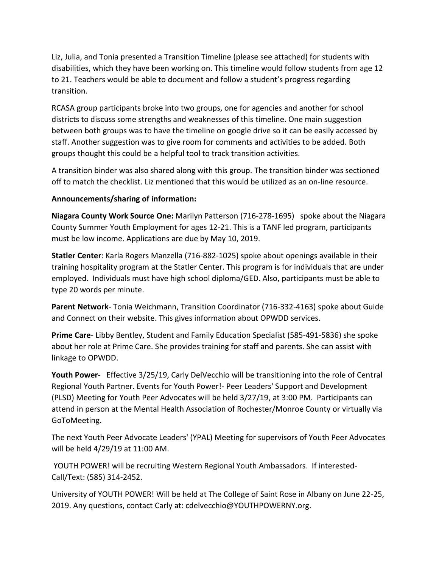Liz, Julia, and Tonia presented a Transition Timeline (please see attached) for students with disabilities, which they have been working on. This timeline would follow students from age 12 to 21. Teachers would be able to document and follow a student's progress regarding transition.

RCASA group participants broke into two groups, one for agencies and another for school districts to discuss some strengths and weaknesses of this timeline. One main suggestion between both groups was to have the timeline on google drive so it can be easily accessed by staff. Another suggestion was to give room for comments and activities to be added. Both groups thought this could be a helpful tool to track transition activities.

A transition binder was also shared along with this group. The transition binder was sectioned off to match the checklist. Liz mentioned that this would be utilized as an on-line resource.

## **Announcements/sharing of information:**

**Niagara County Work Source One:** Marilyn Patterson (716-278-1695) spoke about the Niagara County Summer Youth Employment for ages 12-21. This is a TANF led program, participants must be low income. Applications are due by May 10, 2019.

**Statler Center**: Karla Rogers Manzella (716-882-1025) spoke about openings available in their training hospitality program at the Statler Center. This program is for individuals that are under employed. Individuals must have high school diploma/GED. Also, participants must be able to type 20 words per minute.

**Parent Network**- Tonia Weichmann, Transition Coordinator (716-332-4163) spoke about Guide and Connect on their website. This gives information about OPWDD services.

**Prime Care**- Libby Bentley, Student and Family Education Specialist (585-491-5836) she spoke about her role at Prime Care. She provides training for staff and parents. She can assist with linkage to OPWDD.

**Youth Power**- Effective 3/25/19, Carly DelVecchio will be transitioning into the role of Central Regional Youth Partner. Events for Youth Power!- Peer Leaders' Support and Development (PLSD) Meeting for Youth Peer Advocates will be held 3/27/19, at 3:00 PM. Participants can attend in person at the Mental Health Association of Rochester/Monroe County or virtually via GoToMeeting.

The next Youth Peer Advocate Leaders' (YPAL) Meeting for supervisors of Youth Peer Advocates will be held 4/29/19 at 11:00 AM.

YOUTH POWER! will be recruiting Western Regional Youth Ambassadors. If interested-Call/Text: (585) 314-2452.

University of YOUTH POWER! Will be held at The College of Saint Rose in Albany on June 22-25, 2019. Any questions, contact Carly at: cdelvecchio@YOUTHPOWERNY.org.